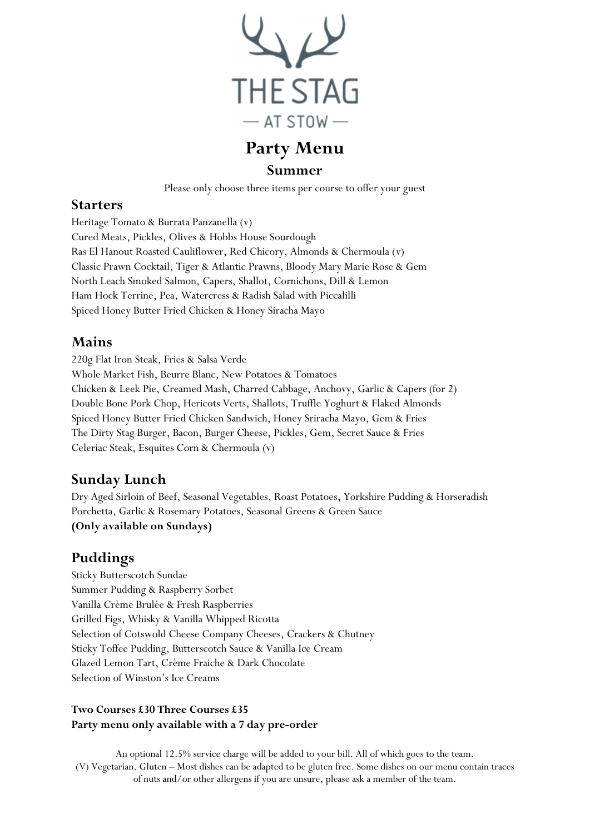

# Party Menu

#### Summer

Please only choose three items per course to offer your guest

#### Starters

Heritage Tomato & Burrata Panzanella (v) Cured Meats, Pickles, Olives & Hobbs House Sourdough Ras El Hanout Roasted Cauliflower, Red Chicory, Almonds & Chermoula (v) Classic Prawn Cocktail, Tiger & Atlantic Prawns, Bloody Mary Marie Rose & Gem North Leach Smoked Salmon, Capers, Shallot, Cornichons, Dill & Lemon Ham Hock Terrine, Pea, Watercress & Radish Salad with Piccalilli Spiced Honey Butter Fried Chicken & Honey Siracha Mayo

### Mains

220g Flat Iron Steak, Fries & Salsa Verde Whole Market Fish, Beurre Blanc, New Potatoes & Tomatoes Chicken & Leek Pie, Creamed Mash, Charred Cabbage, Anchovy, Garlic & Capers (for 2) Double Bone Pork Chop, Hericots Verts, Shallots, Truffle Yoghurt & Flaked Almonds Spiced Honey Butter Fried Chicken Sandwich, Honey Sriracha Mayo, Gem & Fries The Dirty Stag Burger, Bacon, Burger Cheese, Pickles, Gem, Secret Sauce & Fries Celeriac Steak, Esquites Corn & Chermoula (v)

## Sunday Lunch

Dry Aged Sirloin of Beef, Seasonal Vegetables, Roast Potatoes, Yorkshire Pudding & Horseradish Porchetta, Garlic & Rosemary Potatoes, Seasonal Greens & Green Sauce (Only available on Sundays)

## Puddings

Sticky Butterscotch Sundae Summer Pudding & Raspberry Sorbet Vanilla Crème Brulée & Fresh Raspberries Grilled Figs, Whisky & Vanilla Whipped Ricotta Selection of Cotswold Cheese Company Cheeses, Crackers & Chutney Sticky Toffee Pudding, Butterscotch Sauce & Vanilla Ice Cream Glazed Lemon Tart, Crème Fraiche & Dark Chocolate Selection of Winston's Ice Creams

#### Two Courses £30 Three Courses £35 Party menu only available with a 7 day pre-order

An optional 12.5% service charge will be added to your bill. All of which goes to the team. (V) Vegetarian. Gluten – Most dishes can be adapted to be gluten free. Some dishes on our menu contain traces of nuts and/or other allergens if you are unsure, please ask a member of the team.